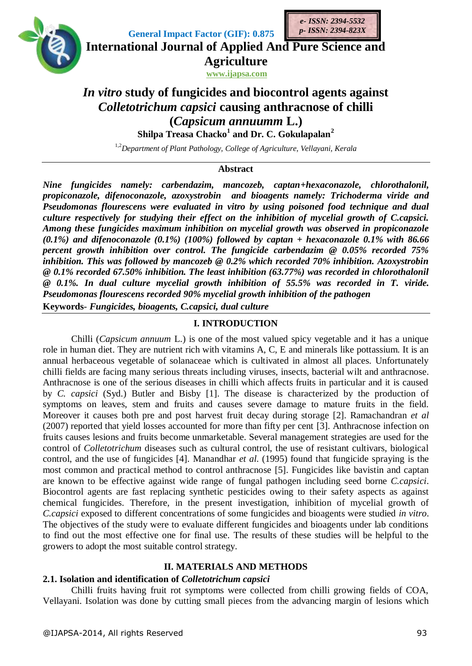

**International Journal of Applied And Pure Science and**

**Agriculture www.ijapsa.com**

*e- ISSN: 2394-5532 p- ISSN: 2394-823X*

# *In vitro* **study of fungicides and biocontrol agents against**  *Colletotrichum capsici* **causing anthracnose of chilli (***Capsicum annuumm* **L.)**

**Shilpa Treasa Chacko<sup>1</sup> and Dr. C. Gokulapalan<sup>2</sup>**

1,2*Department of Plant Pathology, College of Agriculture, Vellayani, Kerala*

### **Abstract**

*Nine fungicides namely: carbendazim, mancozeb, captan+hexaconazole, chlorothalonil, propiconazole, difenoconazole, azoxystrobin and bioagents namely: Trichoderma viride and Pseudomonas flourescens were evaluated in vitro by using poisoned food technique and dual culture respectively for studying their effect on the inhibition of mycelial growth of C.capsici. Among these fungicides maximum inhibition on mycelial growth was observed in propiconazole (0.1%) and difenoconazole (0.1%) (100%) followed by captan + hexaconazole 0.1% with 86.66 percent growth inhibition over control. The fungicide carbendazim @ 0.05% recorded 75% inhibition. This was followed by mancozeb @ 0.2% which recorded 70% inhibition. Azoxystrobin @ 0.1% recorded 67.50% inhibition. The least inhibition (63.77%) was recorded in chlorothalonil @ 0.1%. In dual culture mycelial growth inhibition of 55.5% was recorded in T. viride. Pseudomonas flourescens recorded 90% mycelial growth inhibition of the pathogen* **Keywords**- *Fungicides, bioagents, C.capsici, dual culture*

### **I. INTRODUCTION**

Chilli (*Capsicum annuum* L.) is one of the most valued spicy vegetable and it has a unique role in human diet. They are nutrient rich with vitamins A, C, E and minerals like pottassium. It is an annual herbaceous vegetable of solanaceae which is cultivated in almost all places. Unfortunately chilli fields are facing many serious threats including viruses, insects, bacterial wilt and anthracnose. Anthracnose is one of the serious diseases in chilli which affects fruits in particular and it is caused by *C. capsici* (Syd.) Butler and Bisby [1]. The disease is characterized by the production of symptoms on leaves, stem and fruits and causes severe damage to mature fruits in the field. Moreover it causes both pre and post harvest fruit decay during storage [2]. Ramachandran *et al*  (2007) reported that yield losses accounted for more than fifty per cent [3]. Anthracnose infection on fruits causes lesions and fruits become unmarketable. Several management strategies are used for the control of *Colletotrichum* diseases such as cultural control, the use of resistant cultivars, biological control, and the use of fungicides [4]. Manandhar *et al*. (1995) found that fungicide spraying is the most common and practical method to control anthracnose [5]. Fungicides like bavistin and captan are known to be effective against wide range of fungal pathogen including seed borne *C.capsici*. Biocontrol agents are fast replacing synthetic pesticides owing to their safety aspects as against chemical fungicides. Therefore, in the present investigation, inhibition of mycelial growth of *C.capsici* exposed to different concentrations of some fungicides and bioagents were studied *in vitro*. The objectives of the study were to evaluate different fungicides and bioagents under lab conditions to find out the most effective one for final use. The results of these studies will be helpful to the growers to adopt the most suitable control strategy.

### **II. MATERIALS AND METHODS**

### **2.1. Isolation and identification of** *Colletotrichum capsici*

Chilli fruits having fruit rot symptoms were collected from chilli growing fields of COA, Vellayani. Isolation was done by cutting small pieces from the advancing margin of lesions which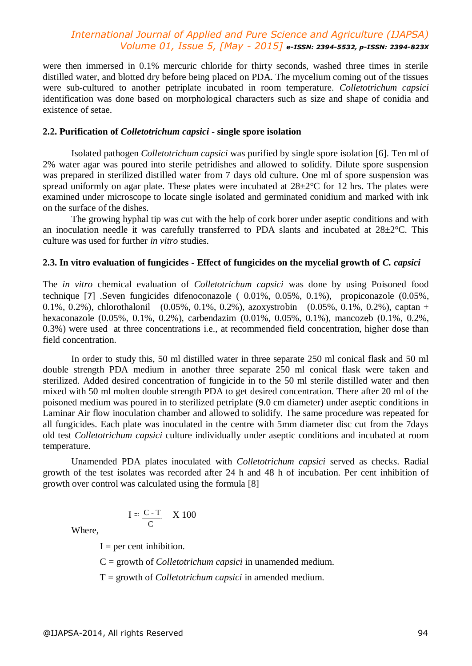were then immersed in 0.1% mercuric chloride for thirty seconds, washed three times in sterile distilled water, and blotted dry before being placed on PDA. The mycelium coming out of the tissues were sub-cultured to another petriplate incubated in room temperature. *Colletotrichum capsici*  identification was done based on morphological characters such as size and shape of conidia and existence of setae.

#### **2.2. Purification of** *Colletotrichum capsici* **- single spore isolation**

Isolated pathogen *Colletotrichum capsici* was purified by single spore isolation [6]. Ten ml of 2% water agar was poured into sterile petridishes and allowed to solidify. Dilute spore suspension was prepared in sterilized distilled water from 7 days old culture. One ml of spore suspension was spread uniformly on agar plate. These plates were incubated at  $28\pm2\degree$ C for 12 hrs. The plates were examined under microscope to locate single isolated and germinated conidium and marked with ink on the surface of the dishes.

The growing hyphal tip was cut with the help of cork borer under aseptic conditions and with an inoculation needle it was carefully transferred to PDA slants and incubated at  $28 \pm 2^{\circ}$ C. This culture was used for further *in vitro* studies.

#### **2.3. In vitro evaluation of fungicides - Effect of fungicides on the mycelial growth of** *C. capsici*

The *in vitro* chemical evaluation of *Colletotrichum capsici* was done by using Poisoned food technique [7] .Seven fungicides difenoconazole ( 0.01%, 0.05%, 0.1%), propiconazole (0.05%, 0.1%, 0.2%), chlorothalonil (0.05%, 0.1%, 0.2%), azoxystrobin (0.05%, 0.1%, 0.2%), captan + hexaconazole (0.05%, 0.1%, 0.2%), carbendazim (0.01%, 0.05%, 0.1%), mancozeb (0.1%, 0.2%, 0.3%) were used at three concentrations i.e., at recommended field concentration, higher dose than field concentration.

In order to study this, 50 ml distilled water in three separate 250 ml conical flask and 50 ml double strength PDA medium in another three separate 250 ml conical flask were taken and sterilized. Added desired concentration of fungicide in to the 50 ml sterile distilled water and then mixed with 50 ml molten double strength PDA to get desired concentration. There after 20 ml of the poisoned medium was poured in to sterilized petriplate (9.0 cm diameter) under aseptic conditions in Laminar Air flow inoculation chamber and allowed to solidify. The same procedure was repeated for all fungicides. Each plate was inoculated in the centre with 5mm diameter disc cut from the 7days old test *Colletotrichum capsici* culture individually under aseptic conditions and incubated at room temperature.

Unamended PDA plates inoculated with *Colletotrichum capsici* served as checks. Radial growth of the test isolates was recorded after 24 h and 48 h of incubation. Per cent inhibition of growth over control was calculated using the formula [8]

$$
I = \frac{C - T}{C} \quad X \, 100
$$

Where,

 $I =$  per cent inhibition.

C = growth of *Colletotrichum capsici* in unamended medium.

T = growth of *Colletotrichum capsici* in amended medium.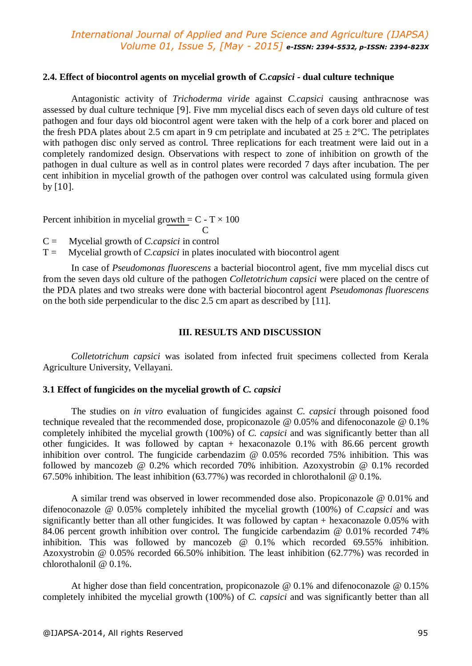#### **2.4. Effect of biocontrol agents on mycelial growth of** *C.capsici -* **dual culture technique**

Antagonistic activity of *Trichoderma viride* against *C.capsici* causing anthracnose was assessed by dual culture technique [9]. Five mm mycelial discs each of seven days old culture of test pathogen and four days old biocontrol agent were taken with the help of a cork borer and placed on the fresh PDA plates about 2.5 cm apart in 9 cm petriplate and incubated at  $25 \pm 2^{\circ}$ C. The petriplates with pathogen disc only served as control. Three replications for each treatment were laid out in a completely randomized design. Observations with respect to zone of inhibition on growth of the pathogen in dual culture as well as in control plates were recorded 7 days after incubation. The per cent inhibition in mycelial growth of the pathogen over control was calculated using formula given by [10].

Percent inhibition in mycelial growth =  $C - T \times 100$ 

**C** C C = Mycelial growth of *C.capsici* in control

T = Mycelial growth of *C.capsici* in plates inoculated with biocontrol agent

In case of *Pseudomonas fluorescens* a bacterial biocontrol agent, five mm mycelial discs cut from the seven days old culture of the pathogen *Colletotrichum capsici* were placed on the centre of the PDA plates and two streaks were done with bacterial biocontrol agent *Pseudomonas fluorescens*  on the both side perpendicular to the disc 2.5 cm apart as described by [11].

### **III. RESULTS AND DISCUSSION**

*Colletotrichum capsici* was isolated from infected fruit specimens collected from Kerala Agriculture University, Vellayani.

### **3.1 Effect of fungicides on the mycelial growth of** *C. capsici*

The studies on *in vitro* evaluation of fungicides against *C. capsici* through poisoned food technique revealed that the recommended dose, propiconazole @ 0.05% and difenoconazole @ 0.1% completely inhibited the mycelial growth (100%) of *C. capsici* and was significantly better than all other fungicides. It was followed by captan + hexaconazole 0.1% with 86.66 percent growth inhibition over control. The fungicide carbendazim  $\omega$  0.05% recorded 75% inhibition. This was followed by mancozeb @ 0.2% which recorded 70% inhibition. Azoxystrobin @ 0.1% recorded 67.50% inhibition. The least inhibition (63.77%) was recorded in chlorothalonil @ 0.1%.

A similar trend was observed in lower recommended dose also. Propiconazole @ 0.01% and difenoconazole @ 0.05% completely inhibited the mycelial growth (100%) of *C.capsici* and was significantly better than all other fungicides. It was followed by captan + hexaconazole 0.05% with 84.06 percent growth inhibition over control. The fungicide carbendazim @ 0.01% recorded 74% inhibition. This was followed by mancozeb @ 0.1% which recorded 69.55% inhibition. Azoxystrobin @ 0.05% recorded 66.50% inhibition. The least inhibition (62.77%) was recorded in chlorothalonil @ 0.1%.

At higher dose than field concentration, propiconazole @ 0.1% and difenoconazole @ 0.15% completely inhibited the mycelial growth (100%) of *C. capsici* and was significantly better than all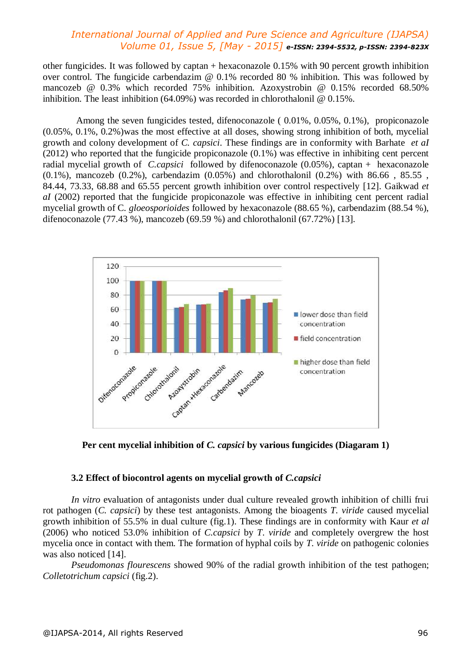other fungicides. It was followed by captan + hexaconazole 0.15% with 90 percent growth inhibition over control. The fungicide carbendazim @ 0.1% recorded 80 % inhibition. This was followed by mancozeb @ 0.3% which recorded 75% inhibition. Azoxystrobin @ 0.15% recorded 68.50% inhibition. The least inhibition (64.09%) was recorded in chlorothalonil @ 0.15%.

Among the seven fungicides tested, difenoconazole ( 0.01%, 0.05%, 0.1%), propiconazole (0.05%, 0.1%, 0.2%)was the most effective at all doses, showing strong inhibition of both, mycelial growth and colony development of *C. capsici*. These findings are in conformity with Barhate *et aI* (2012) who reported that the fungicide propiconazole (0.1%) was effective in inhibiting cent percent radial mycelial growth of *C.capsici* followed by difenoconazole (0.05%), captan + hexaconazole  $(0.1\%)$ , mancozeb  $(0.2\%)$ , carbendazim  $(0.05\%)$  and chlorothalonil  $(0.2\%)$  with 86.66, 85.55, 84.44, 73.33, 68.88 and 65.55 percent growth inhibition over control respectively [12]. Gaikwad *et aI* (2002) reported that the fungicide propiconazole was effective in inhibiting cent percent radial mycelial growth of C. *gloeosporioides* followed by hexaconazole (88.65 %), carbendazim (88.54 %), difenoconazole (77.43 %), mancozeb (69.59 %) and chlorothalonil (67.72%) [13].



**Per cent mycelial inhibition of** *C. capsici* **by various fungicides (Diagaram 1)**

### **3.2 Effect of biocontrol agents on mycelial growth of** *C.capsici*

*In vitro* evaluation of antagonists under dual culture revealed growth inhibition of chilli frui rot pathogen (*C. capsici*) by these test antagonists. Among the bioagents *T. viride* caused mycelial growth inhibition of 55.5% in dual culture (fig.1). These findings are in conformity with Kaur *et al* (2006) who noticed 53.0% inhibition of *C.capsici* by *T*. *viride* and completely overgrew the host mycelia once in contact with them. The formation of hyphal coils by *T. viride* on pathogenic colonies was also noticed [14].

*Pseudomonas flourescens* showed 90% of the radial growth inhibition of the test pathogen; *Colletotrichum capsici* (fig.2).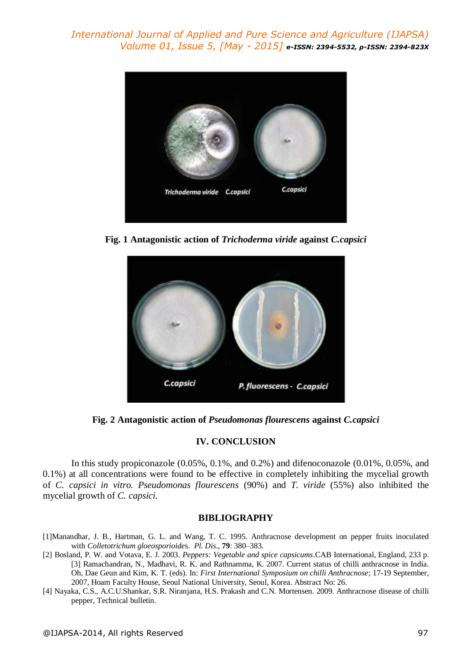

**Fig. 1 Antagonistic action of** *Trichoderma viride* **against** *C.capsici*



**Fig. 2 Antagonistic action of** *Pseudomonas flourescens* **against** *C.capsici*

### **IV. CONCLUSION**

In this study propiconazole (0.05%, 0.1%, and 0.2%) and difenoconazole (0.01%, 0.05%, and 0.1%) at all concentrations were found to be effective in completely inhibiting the mycelial growth of *C. capsici in vitro. Pseudomonas flourescens* (90%) and *T. viride* (55%) also inhibited the mycelial growth of *C. capsici.*

### **BIBLIOGRAPHY**

- [1]Manandhar, J. B., Hartman, G. L. and Wang, T. C. 1995. Anthracnose development on pepper fruits inoculated with *Colletotrichum gloeosporioide*s. *Pl. Dis*., **79**: 380–383.
- [2] Bosland, P. W. and Votava, E. J. 2003. *Peppers: Vegetable and spice capsicums*.CAB International, England, 233 p. [3] Ramachandran, N., Madhavi, R. K. and Rathnamma, K. 2007. Current status of chilli anthracnose in India. Oh, Dae Geun and Kim, K. T. (eds). In: *First International Symposium on chilli Anthracnose*; 17-19 September, 2007, Hoam Faculty House, Seoul National University, Seoul, Korea. Abstract No: 26.
- [4] Nayaka, C.S., A.C.U.Shankar, S.R. Niranjana, H.S. Prakash and C.N. Mortensen. 2009. Anthracnose disease of chilli pepper, Technical bulletin.